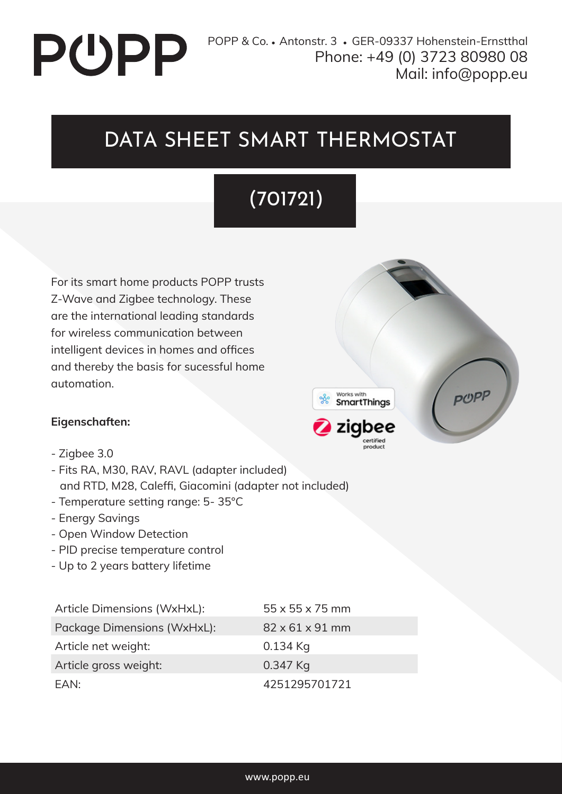# **PUPP**

#### DATA SHEET SMART THERMOSTAT

#### (701721)

For its smart home products POPP trusts Z-Wave and Zigbee technology. These are the international leading standards for wireless communication between intelligent devices in homes and offices and thereby the basis for sucessful home automation.

#### **Eigenschaften:**

- Zigbee 3.0
- Fits RA, M30, RAV, RAVL (adapter included) and RTD, M28, Caleffi, Giacomini (adapter not included)
- Temperature setting range: 5- 35°C
- Energy Savings
- Open Window Detection
- PID precise temperature control
- Up to 2 years battery lifetime

Article Dimensions (WxHxL): 55 x 55 x 75 mm Package Dimensions (WxHxL): 82 x 61 x 91 mm Article net weight: 0.134 Kg Article gross weight: 0.347 Kg EAN: 4251295701721

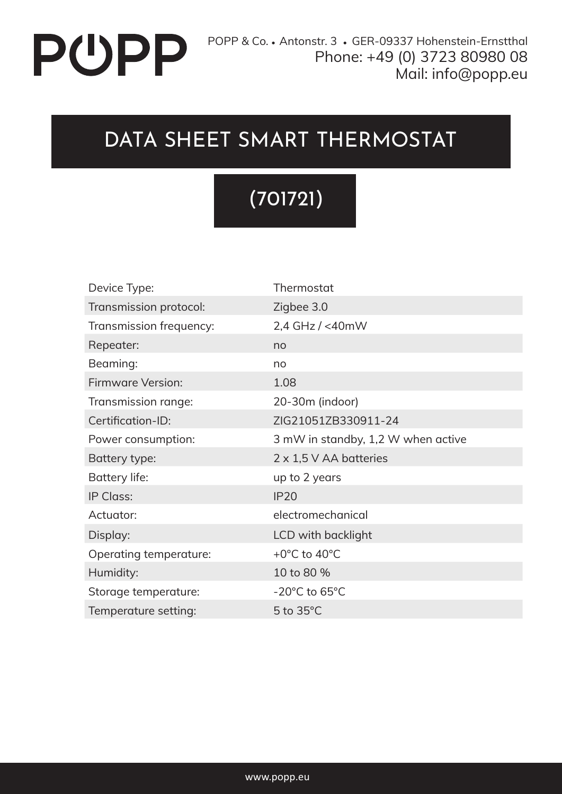## PUPP

#### DATA SHEET SMART THERMOSTAT

### (701721)

| Device Type:            | Thermostat                         |
|-------------------------|------------------------------------|
| Transmission protocol:  | Zigbee 3.0                         |
| Transmission frequency: | 2,4 GHz / <40mW                    |
| Repeater:               | no                                 |
| Beaming:                | no                                 |
| Firmware Version:       | 1.08                               |
| Transmission range:     | 20-30m (indoor)                    |
| Certification-ID:       | ZIG21051ZB330911-24                |
| Power consumption:      | 3 mW in standby, 1,2 W when active |
| Battery type:           | $2 \times 1.5$ V AA batteries      |
| Battery life:           | up to 2 years                      |
| IP Class:               | IP20                               |
| Actuator:               | electromechanical                  |
| Display:                | LCD with backlight                 |
| Operating temperature:  | +0°C to 40°C                       |
| Humidity:               | 10 to 80 %                         |
| Storage temperature:    | $-20^{\circ}$ C to 65 $^{\circ}$ C |
| Temperature setting:    | $5$ to $35^{\circ}$ C              |